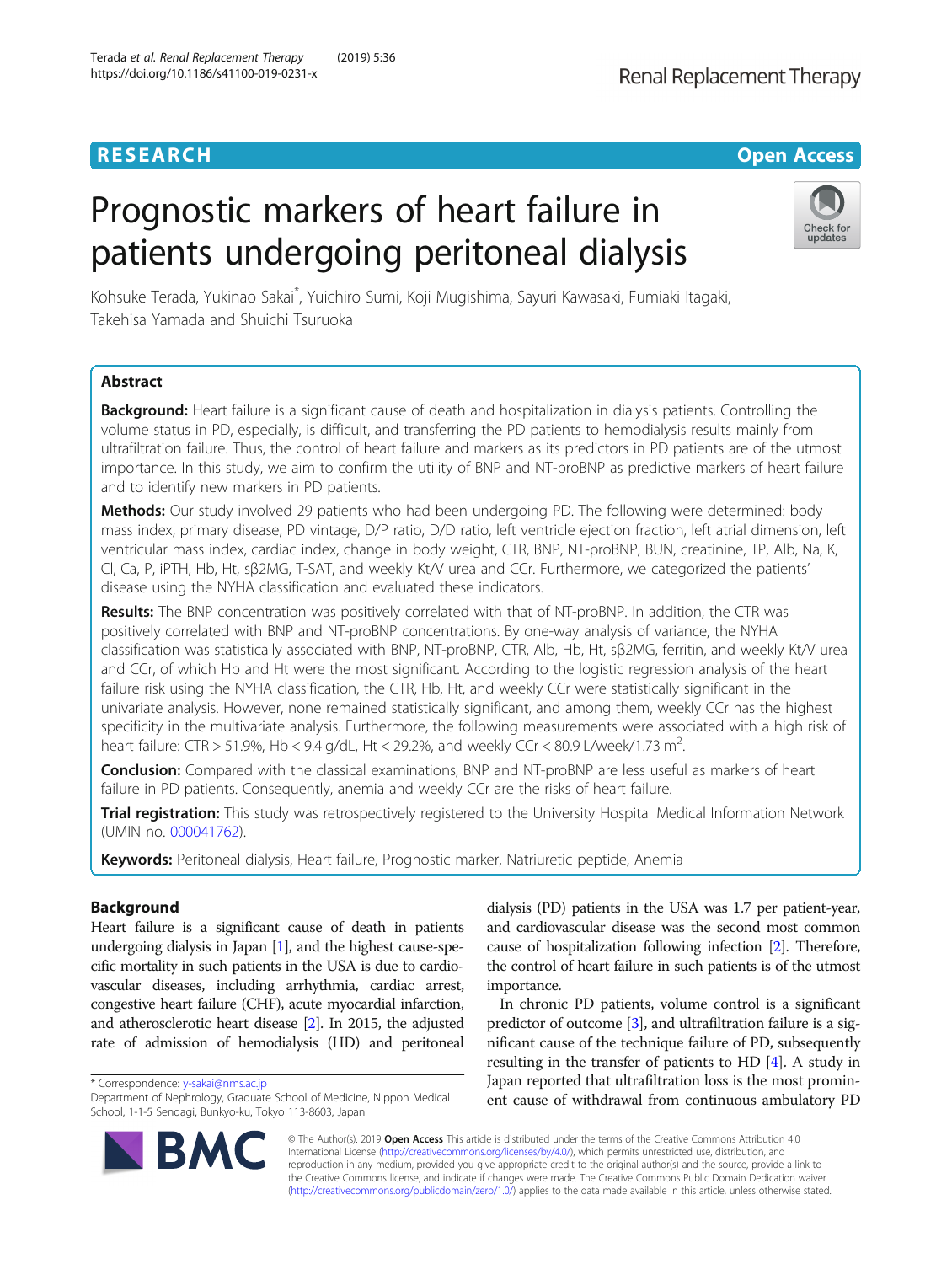Terada et al. Renal Replacement Therapy (2019) 5:36

# Prognostic markers of heart failure in patients undergoing peritoneal dialysis



Kohsuke Terada, Yukinao Sakai\* , Yuichiro Sumi, Koji Mugishima, Sayuri Kawasaki, Fumiaki Itagaki, Takehisa Yamada and Shuichi Tsuruoka

# Abstract

Background: Heart failure is a significant cause of death and hospitalization in dialysis patients. Controlling the volume status in PD, especially, is difficult, and transferring the PD patients to hemodialysis results mainly from ultrafiltration failure. Thus, the control of heart failure and markers as its predictors in PD patients are of the utmost importance. In this study, we aim to confirm the utility of BNP and NT-proBNP as predictive markers of heart failure and to identify new markers in PD patients.

Methods: Our study involved 29 patients who had been undergoing PD. The following were determined: body mass index, primary disease, PD vintage, D/P ratio, D/D ratio, left ventricle ejection fraction, left atrial dimension, left ventricular mass index, cardiac index, change in body weight, CTR, BNP, NT-proBNP, BUN, creatinine, TP, Alb, Na, K, Cl, Ca, P, iPTH, Hb, Ht, sβ2MG, T-SAT, and weekly Kt/V urea and CCr. Furthermore, we categorized the patients' disease using the NYHA classification and evaluated these indicators.

Results: The BNP concentration was positively correlated with that of NT-proBNP. In addition, the CTR was positively correlated with BNP and NT-proBNP concentrations. By one-way analysis of variance, the NYHA classification was statistically associated with BNP, NT-proBNP, CTR, Alb, Hb, Ht, sβ2MG, ferritin, and weekly Kt/V urea and CCr, of which Hb and Ht were the most significant. According to the logistic regression analysis of the heart failure risk using the NYHA classification, the CTR, Hb, Ht, and weekly CCr were statistically significant in the univariate analysis. However, none remained statistically significant, and among them, weekly CCr has the highest specificity in the multivariate analysis. Furthermore, the following measurements were associated with a high risk of heart failure: CTR > 51.9%, Hb < 9.4 g/dL, Ht < 29.2%, and weekly CCr < 80.9 L/week/1.73 m<sup>2</sup>. .

**Conclusion:** Compared with the classical examinations, BNP and NT-proBNP are less useful as markers of heart failure in PD patients. Consequently, anemia and weekly CCr are the risks of heart failure.

Trial registration: This study was retrospectively registered to the University Hospital Medical Information Network (UMIN no. [000041762\)](https://upload.umin.ac.jp/cgi-open-bin/ctr/ctr_view.cgi?recptno=R000041762).

Keywords: Peritoneal dialysis, Heart failure, Prognostic marker, Natriuretic peptide, Anemia

# Background

Heart failure is a significant cause of death in patients undergoing dialysis in Japan [\[1\]](#page-7-0), and the highest cause-specific mortality in such patients in the USA is due to cardiovascular diseases, including arrhythmia, cardiac arrest, congestive heart failure (CHF), acute myocardial infarction, and atherosclerotic heart disease [[2](#page-7-0)]. In 2015, the adjusted rate of admission of hemodialysis (HD) and peritoneal

\* Correspondence: [y-sakai@nms.ac.jp](mailto:y-sakai@nms.ac.jp)

dialysis (PD) patients in the USA was 1.7 per patient-year, and cardiovascular disease was the second most common cause of hospitalization following infection [\[2\]](#page-7-0). Therefore, the control of heart failure in such patients is of the utmost importance.

In chronic PD patients, volume control is a significant predictor of outcome [\[3\]](#page-7-0), and ultrafiltration failure is a significant cause of the technique failure of PD, subsequently resulting in the transfer of patients to HD [\[4](#page-7-0)]. A study in Japan reported that ultrafiltration loss is the most prominent cause of withdrawal from continuous ambulatory PD



© The Author(s). 2019 Open Access This article is distributed under the terms of the Creative Commons Attribution 4.0 International License [\(http://creativecommons.org/licenses/by/4.0/](http://creativecommons.org/licenses/by/4.0/)), which permits unrestricted use, distribution, and reproduction in any medium, provided you give appropriate credit to the original author(s) and the source, provide a link to the Creative Commons license, and indicate if changes were made. The Creative Commons Public Domain Dedication waiver [\(http://creativecommons.org/publicdomain/zero/1.0/](http://creativecommons.org/publicdomain/zero/1.0/)) applies to the data made available in this article, unless otherwise stated.

Department of Nephrology, Graduate School of Medicine, Nippon Medical School, 1-1-5 Sendagi, Bunkyo-ku, Tokyo 113-8603, Japan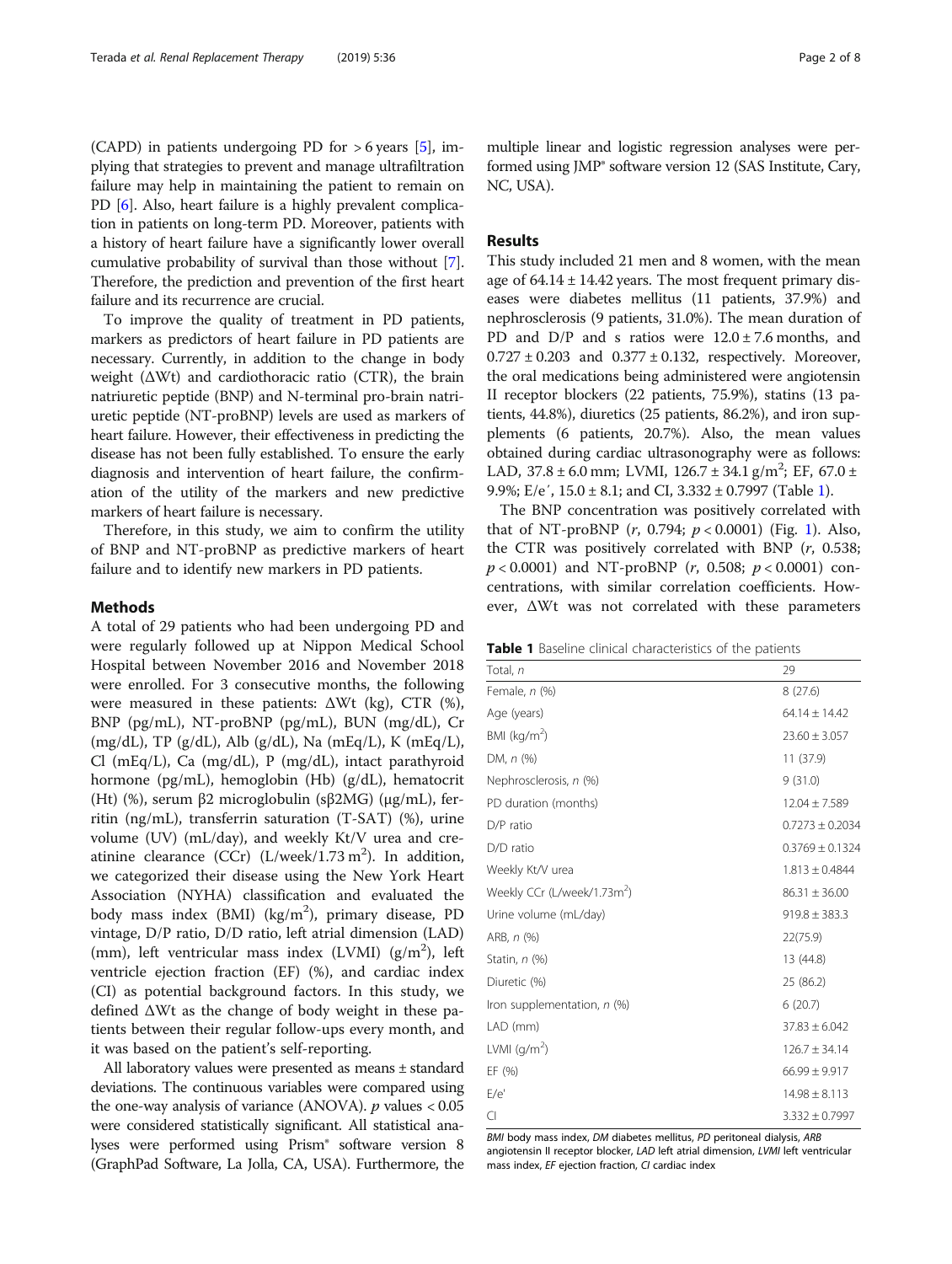(CAPD) in patients undergoing PD for  $> 6$  years [\[5](#page-7-0)], implying that strategies to prevent and manage ultrafiltration failure may help in maintaining the patient to remain on PD [[6\]](#page-7-0). Also, heart failure is a highly prevalent complication in patients on long-term PD. Moreover, patients with a history of heart failure have a significantly lower overall cumulative probability of survival than those without [[7](#page-7-0)]. Therefore, the prediction and prevention of the first heart failure and its recurrence are crucial.

To improve the quality of treatment in PD patients, markers as predictors of heart failure in PD patients are necessary. Currently, in addition to the change in body weight  $(\Delta Wt)$  and cardiothoracic ratio (CTR), the brain natriuretic peptide (BNP) and N-terminal pro-brain natriuretic peptide (NT-proBNP) levels are used as markers of heart failure. However, their effectiveness in predicting the disease has not been fully established. To ensure the early diagnosis and intervention of heart failure, the confirmation of the utility of the markers and new predictive markers of heart failure is necessary.

Therefore, in this study, we aim to confirm the utility of BNP and NT-proBNP as predictive markers of heart failure and to identify new markers in PD patients.

#### Methods

A total of 29 patients who had been undergoing PD and were regularly followed up at Nippon Medical School Hospital between November 2016 and November 2018 were enrolled. For 3 consecutive months, the following were measured in these patients:  $\Delta Wt$  (kg), CTR (%), BNP (pg/mL), NT-proBNP (pg/mL), BUN (mg/dL), Cr  $(mg/dL)$ , TP  $(g/dL)$ , Alb  $(g/dL)$ , Na  $(mEq/L)$ , K  $(mEq/L)$ , Cl (mEq/L), Ca (mg/dL), P (mg/dL), intact parathyroid hormone (pg/mL), hemoglobin (Hb) (g/dL), hematocrit (Ht) (%), serum β2 microglobulin (sβ2MG) (μg/mL), ferritin (ng/mL), transferrin saturation (T-SAT) (%), urine volume (UV) (mL/day), and weekly Kt/V urea and creatinine clearance  $(CCr)$  (L/week/1.73 m<sup>2</sup>). In addition, we categorized their disease using the New York Heart Association (NYHA) classification and evaluated the body mass index (BMI) (kg/m<sup>2</sup>), primary disease, PD vintage, D/P ratio, D/D ratio, left atrial dimension (LAD) (mm), left ventricular mass index (LVMI)  $(g/m^2)$ , left ventricle ejection fraction (EF) (%), and cardiac index (CI) as potential background factors. In this study, we defined ΔWt as the change of body weight in these patients between their regular follow-ups every month, and it was based on the patient's self-reporting.

All laboratory values were presented as means ± standard deviations. The continuous variables were compared using the one-way analysis of variance (ANOVA).  $p$  values  $<0.05$ were considered statistically significant. All statistical analyses were performed using Prism® software version 8 (GraphPad Software, La Jolla, CA, USA). Furthermore, the

multiple linear and logistic regression analyses were performed using JMP® software version 12 (SAS Institute, Cary, NC, USA).

# Results

This study included 21 men and 8 women, with the mean age of  $64.14 \pm 14.42$  years. The most frequent primary diseases were diabetes mellitus (11 patients, 37.9%) and nephrosclerosis (9 patients, 31.0%). The mean duration of PD and  $D/P$  and s ratios were  $12.0 \pm 7.6$  months, and  $0.727 \pm 0.203$  and  $0.377 \pm 0.132$ , respectively. Moreover, the oral medications being administered were angiotensin II receptor blockers (22 patients, 75.9%), statins (13 patients, 44.8%), diuretics (25 patients, 86.2%), and iron supplements (6 patients, 20.7%). Also, the mean values obtained during cardiac ultrasonography were as follows: LAD,  $37.8 \pm 6.0$  mm; LVMI,  $126.7 \pm 34.1$  g/m<sup>2</sup>; EF,  $67.0 \pm 1.0$ 9.9%; E/e',  $15.0 \pm 8.1$ ; and CI,  $3.332 \pm 0.7997$  (Table 1).

The BNP concentration was positively correlated with that of NT-proBNP  $(r, 0.794; p < 0.0001)$  $(r, 0.794; p < 0.0001)$  $(r, 0.794; p < 0.0001)$  (Fig. 1). Also, the CTR was positively correlated with BNP (r, 0.538;  $p < 0.0001$ ) and NT-proBNP (r, 0.508;  $p < 0.0001$ ) concentrations, with similar correlation coefficients. However, ΔWt was not correlated with these parameters

|  |  |  |  | <b>Table 1</b> Baseline clinical characteristics of the patients |  |  |  |
|--|--|--|--|------------------------------------------------------------------|--|--|--|
|--|--|--|--|------------------------------------------------------------------|--|--|--|

| Total, n                                | 29                  |
|-----------------------------------------|---------------------|
| Female, n (%)                           | 8(27.6)             |
| Age (years)                             | $64.14 \pm 14.42$   |
| BMI ( $kg/m2$ )                         | $23.60 \pm 3.057$   |
| DM, $n$ $%$                             | 11 (37.9)           |
| Nephrosclerosis, n (%)                  | 9(31.0)             |
| PD duration (months)                    | $12.04 \pm 7.589$   |
| D/P ratio                               | $0.7273 \pm 0.2034$ |
| D/D ratio                               | $0.3769 \pm 0.1324$ |
| Weekly Kt/V urea                        | $1.813 \pm 0.4844$  |
| Weekly CCr (L/week/1.73m <sup>2</sup> ) | $86.31 \pm 36.00$   |
| Urine volume (mL/day)                   | $919.8 \pm 383.3$   |
| ARB, n (%)                              | 22(75.9)            |
| Statin, n (%)                           | 13 (44.8)           |
| Diuretic (%)                            | 25 (86.2)           |
| Iron supplementation, n (%)             | 6(20.7)             |
| LAD (mm)                                | $37.83 \pm 6.042$   |
| LVMI $(g/m^2)$                          | $126.7 \pm 34.14$   |
| EF (%)                                  | $66.99 \pm 9.917$   |
| E/e'                                    | $14.98 \pm 8.113$   |
| CI                                      | $3.332 \pm 0.7997$  |

BMI body mass index, DM diabetes mellitus, PD peritoneal dialysis, ARB angiotensin II receptor blocker, LAD left atrial dimension, LVMI left ventricular mass index, EF ejection fraction, CI cardiac index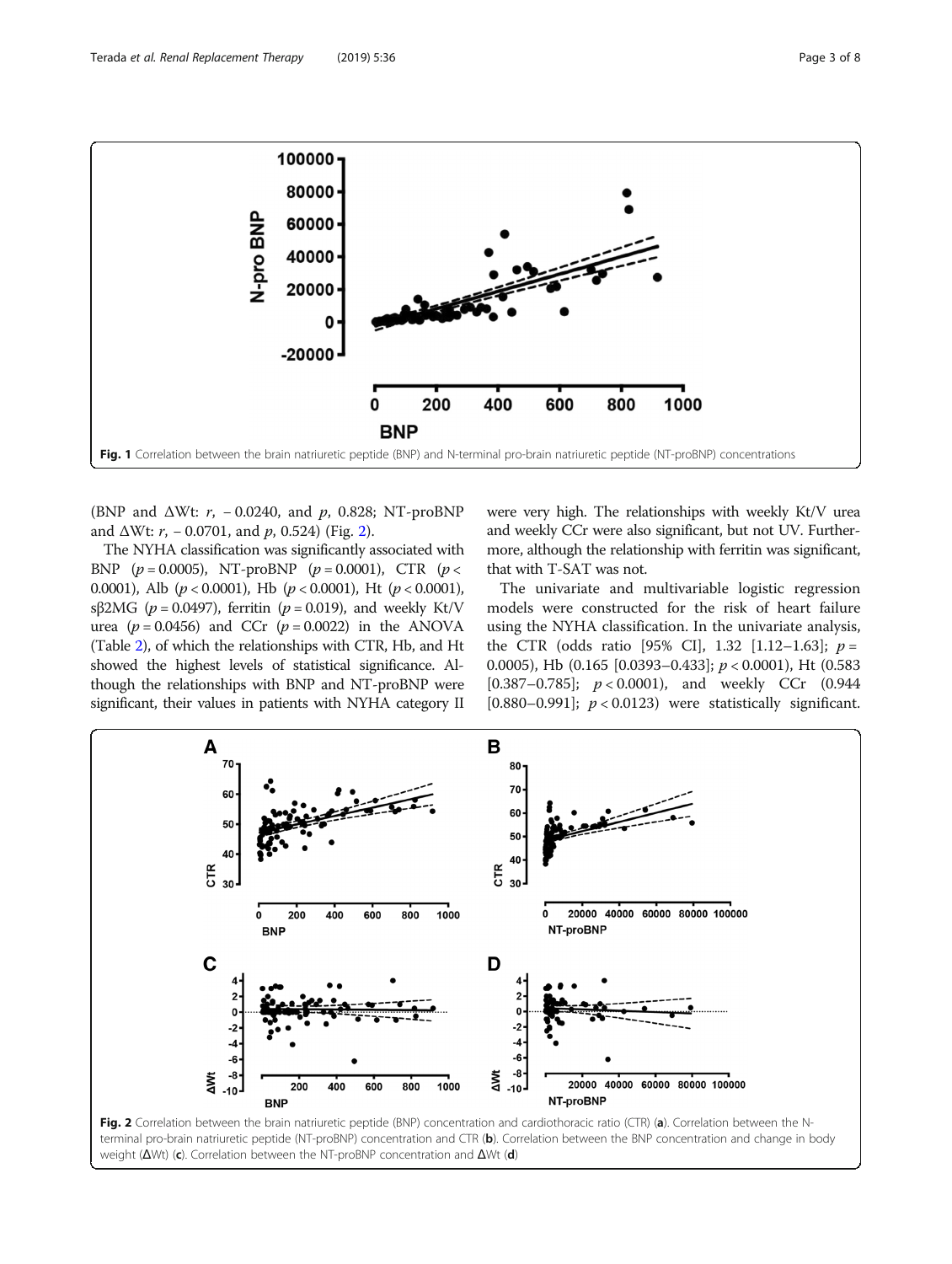<span id="page-2-0"></span>

(BNP and  $\Delta Wt$ : r, -0.0240, and p, 0.828; NT-proBNP and  $\Delta Wt$ :  $r$ ,  $-0.0701$ , and  $p$ , 0.524) (Fig. 2).

The NYHA classification was significantly associated with BNP  $(p = 0.0005)$ , NT-proBNP  $(p = 0.0001)$ , CTR  $(p <$ 0.0001), Alb ( $p < 0.0001$ ), Hb ( $p < 0.0001$ ), Ht ( $p < 0.0001$ ), sβ2MG ( $p = 0.0497$ ), ferritin ( $p = 0.019$ ), and weekly Kt/V urea ( $p = 0.0456$ ) and CCr ( $p = 0.0022$ ) in the ANOVA (Table [2](#page-3-0)), of which the relationships with CTR, Hb, and Ht showed the highest levels of statistical significance. Although the relationships with BNP and NT-proBNP were significant, their values in patients with NYHA category II were very high. The relationships with weekly Kt/V urea and weekly CCr were also significant, but not UV. Furthermore, although the relationship with ferritin was significant, that with T-SAT was not.

The univariate and multivariable logistic regression models were constructed for the risk of heart failure using the NYHA classification. In the univariate analysis, the CTR (odds ratio [95% CI], 1.32 [1.12–1.63];  $p =$ 0.0005), Hb  $(0.165 \; [0.0393 - 0.433]; p < 0.0001)$ , Ht  $(0.583)$ [0.387–0.785];  $p < 0.0001$ ), and weekly CCr (0.944 [0.880–0.991];  $p < 0.0123$ ) were statistically significant.

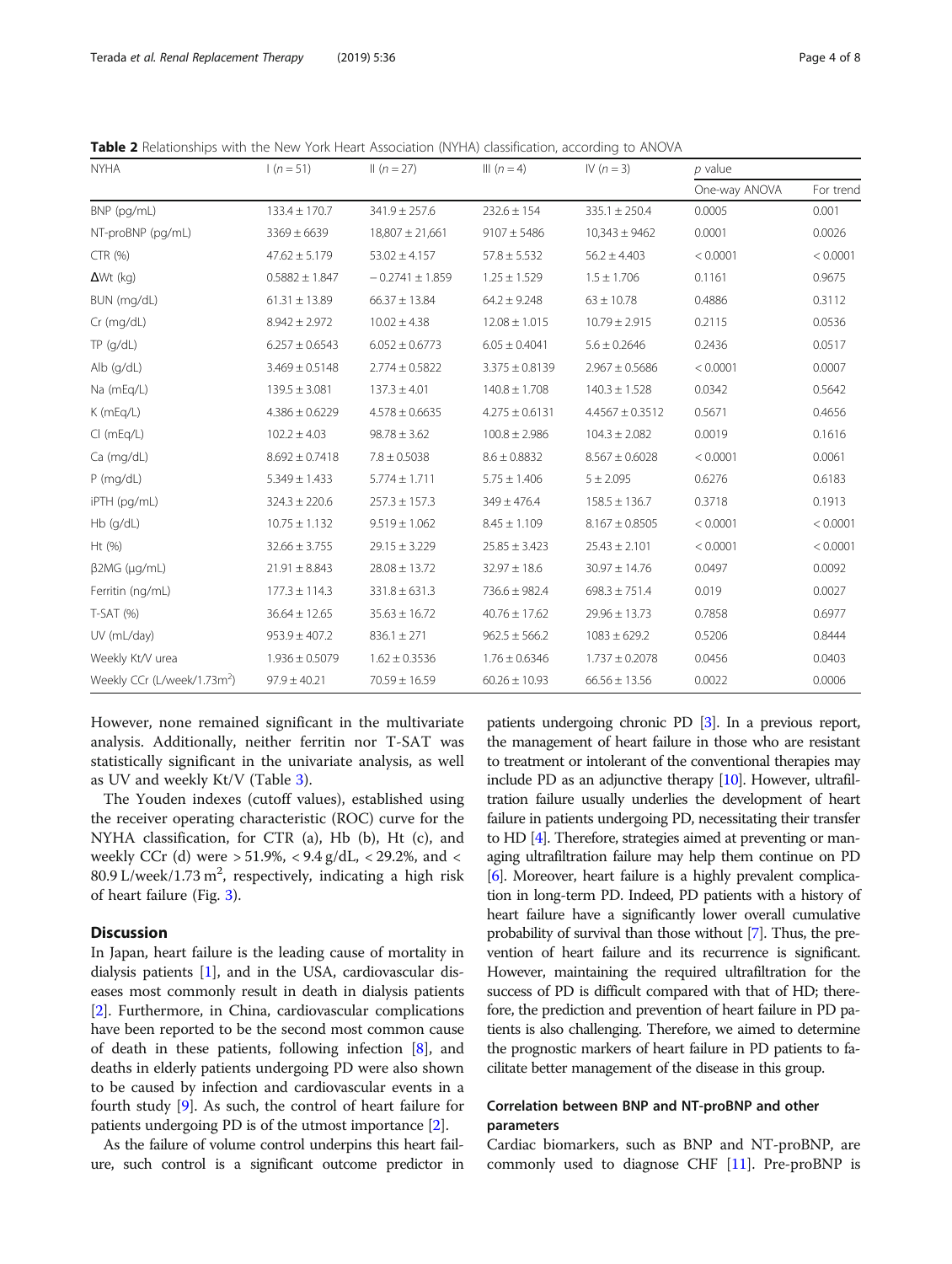<span id="page-3-0"></span>Table 2 Relationships with the New York Heart Association (NYHA) classification, according to ANOVA

| <b>NYHA</b>                             | $1(n=51)$          | $   (n = 27)$       | III $(n = 4)$      | IV $(n = 3)$        | $p$ value     |           |
|-----------------------------------------|--------------------|---------------------|--------------------|---------------------|---------------|-----------|
|                                         |                    |                     |                    |                     | One-way ANOVA | For trend |
| BNP (pg/mL)                             | $133.4 \pm 170.7$  | $341.9 \pm 257.6$   | $232.6 \pm 154$    | $335.1 \pm 250.4$   | 0.0005        | 0.001     |
| NT-proBNP (pg/mL)                       | $3369 \pm 6639$    | $18,807 \pm 21,661$ | $9107 \pm 5486$    | $10,343 \pm 9462$   | 0.0001        | 0.0026    |
| CTR (%)                                 | $47.62 \pm 5.179$  | $53.02 \pm 4.157$   | $57.8 \pm 5.532$   | $56.2 \pm 4.403$    | < 0.0001      | < 0.0001  |
| $\Delta Wt$ (kg)                        | $0.5882 \pm 1.847$ | $-0.2741 \pm 1.859$ | $1.25 \pm 1.529$   | $1.5 \pm 1.706$     | 0.1161        | 0.9675    |
| BUN (mg/dL)                             | $61.31 \pm 13.89$  | $66.37 \pm 13.84$   | $64.2 \pm 9.248$   | $63 \pm 10.78$      | 0.4886        | 0.3112    |
| $Cr$ (mg/dL)                            | $8.942 \pm 2.972$  | $10.02 \pm 4.38$    | $12.08 \pm 1.015$  | $10.79 \pm 2.915$   | 0.2115        | 0.0536    |
| $TP$ (g/dL)                             | $6.257 \pm 0.6543$ | $6.052 \pm 0.6773$  | $6.05 \pm 0.4041$  | $5.6 \pm 0.2646$    | 0.2436        | 0.0517    |
| Alb (g/dL)                              | $3.469 \pm 0.5148$ | $2.774 \pm 0.5822$  | $3.375 \pm 0.8139$ | $2.967 \pm 0.5686$  | < 0.0001      | 0.0007    |
| Na (mEq/L)                              | $139.5 \pm 3.081$  | $137.3 \pm 4.01$    | $140.8 \pm 1.708$  | $140.3 \pm 1.528$   | 0.0342        | 0.5642    |
| K (mEq/L)                               | $4.386 \pm 0.6229$ | $4.578 \pm 0.6635$  | $4.275 \pm 0.6131$ | $4.4567 \pm 0.3512$ | 0.5671        | 0.4656    |
| $Cl$ (mEq/L)                            | $102.2 \pm 4.03$   | $98.78 \pm 3.62$    | $100.8 \pm 2.986$  | $104.3 \pm 2.082$   | 0.0019        | 0.1616    |
| Ca (mg/dL)                              | $8.692 \pm 0.7418$ | $7.8 \pm 0.5038$    | $8.6 \pm 0.8832$   | $8.567 \pm 0.6028$  | < 0.0001      | 0.0061    |
| $P$ (mg/dL)                             | $5.349 \pm 1.433$  | $5.774 \pm 1.711$   | $5.75 \pm 1.406$   | $5 \pm 2.095$       | 0.6276        | 0.6183    |
| iPTH (pg/mL)                            | $324.3 \pm 220.6$  | $257.3 \pm 157.3$   | $349 \pm 476.4$    | $158.5 \pm 136.7$   | 0.3718        | 0.1913    |
| $Hb$ (g/dL)                             | $10.75 \pm 1.132$  | $9.519 \pm 1.062$   | $8.45 \pm 1.109$   | $8.167 \pm 0.8505$  | < 0.0001      | < 0.0001  |
| Ht (%)                                  | $32.66 \pm 3.755$  | $29.15 \pm 3.229$   | $25.85 \pm 3.423$  | $25.43 \pm 2.101$   | < 0.0001      | < 0.0001  |
| $\beta$ 2MG (µg/mL)                     | $21.91 \pm 8.843$  | $28.08 \pm 13.72$   | $32.97 \pm 18.6$   | $30.97 \pm 14.76$   | 0.0497        | 0.0092    |
| Ferritin (ng/mL)                        | $177.3 \pm 114.3$  | $331.8 \pm 631.3$   | $736.6 \pm 982.4$  | $698.3 \pm 751.4$   | 0.019         | 0.0027    |
| $T-SAT(%)$                              | $36.64 \pm 12.65$  | $35.63 \pm 16.72$   | $40.76 \pm 17.62$  | $29.96 \pm 13.73$   | 0.7858        | 0.6977    |
| UV (mL/day)                             | $953.9 \pm 407.2$  | $836.1 \pm 271$     | $962.5 \pm 566.2$  | $1083 \pm 629.2$    | 0.5206        | 0.8444    |
| Weekly Kt/V urea                        | $1.936 \pm 0.5079$ | $1.62 \pm 0.3536$   | $1.76 \pm 0.6346$  | $1.737 \pm 0.2078$  | 0.0456        | 0.0403    |
| Weekly CCr (L/week/1.73m <sup>2</sup> ) | $97.9 \pm 40.21$   | $70.59 \pm 16.59$   | $60.26 \pm 10.93$  | $66.56 \pm 13.56$   | 0.0022        | 0.0006    |

However, none remained significant in the multivariate analysis. Additionally, neither ferritin nor T-SAT was statistically significant in the univariate analysis, as well as UV and weekly Kt/V (Table [3](#page-4-0)).

The Youden indexes (cutoff values), established using the receiver operating characteristic (ROC) curve for the NYHA classification, for CTR (a), Hb (b), Ht (c), and weekly CCr (d) were > 51.9%, < 9.4 g/dL, < 29.2%, and < 80.9 L/week/1.73 m<sup>2</sup>, respectively, indicating a high risk of heart failure (Fig. [3\)](#page-5-0).

# Discussion

In Japan, heart failure is the leading cause of mortality in dialysis patients [[1\]](#page-7-0), and in the USA, cardiovascular diseases most commonly result in death in dialysis patients [[2\]](#page-7-0). Furthermore, in China, cardiovascular complications have been reported to be the second most common cause of death in these patients, following infection [\[8](#page-7-0)], and deaths in elderly patients undergoing PD were also shown to be caused by infection and cardiovascular events in a fourth study [[9](#page-7-0)]. As such, the control of heart failure for patients undergoing PD is of the utmost importance [[2\]](#page-7-0).

As the failure of volume control underpins this heart failure, such control is a significant outcome predictor in

patients undergoing chronic PD [[3](#page-7-0)]. In a previous report, the management of heart failure in those who are resistant to treatment or intolerant of the conventional therapies may include PD as an adjunctive therapy [[10\]](#page-7-0). However, ultrafiltration failure usually underlies the development of heart failure in patients undergoing PD, necessitating their transfer to HD [\[4](#page-7-0)]. Therefore, strategies aimed at preventing or managing ultrafiltration failure may help them continue on PD [[6](#page-7-0)]. Moreover, heart failure is a highly prevalent complication in long-term PD. Indeed, PD patients with a history of heart failure have a significantly lower overall cumulative probability of survival than those without [\[7](#page-7-0)]. Thus, the prevention of heart failure and its recurrence is significant. However, maintaining the required ultrafiltration for the success of PD is difficult compared with that of HD; therefore, the prediction and prevention of heart failure in PD patients is also challenging. Therefore, we aimed to determine the prognostic markers of heart failure in PD patients to facilitate better management of the disease in this group.

# Correlation between BNP and NT-proBNP and other parameters

Cardiac biomarkers, such as BNP and NT-proBNP, are commonly used to diagnose CHF [[11](#page-7-0)]. Pre-proBNP is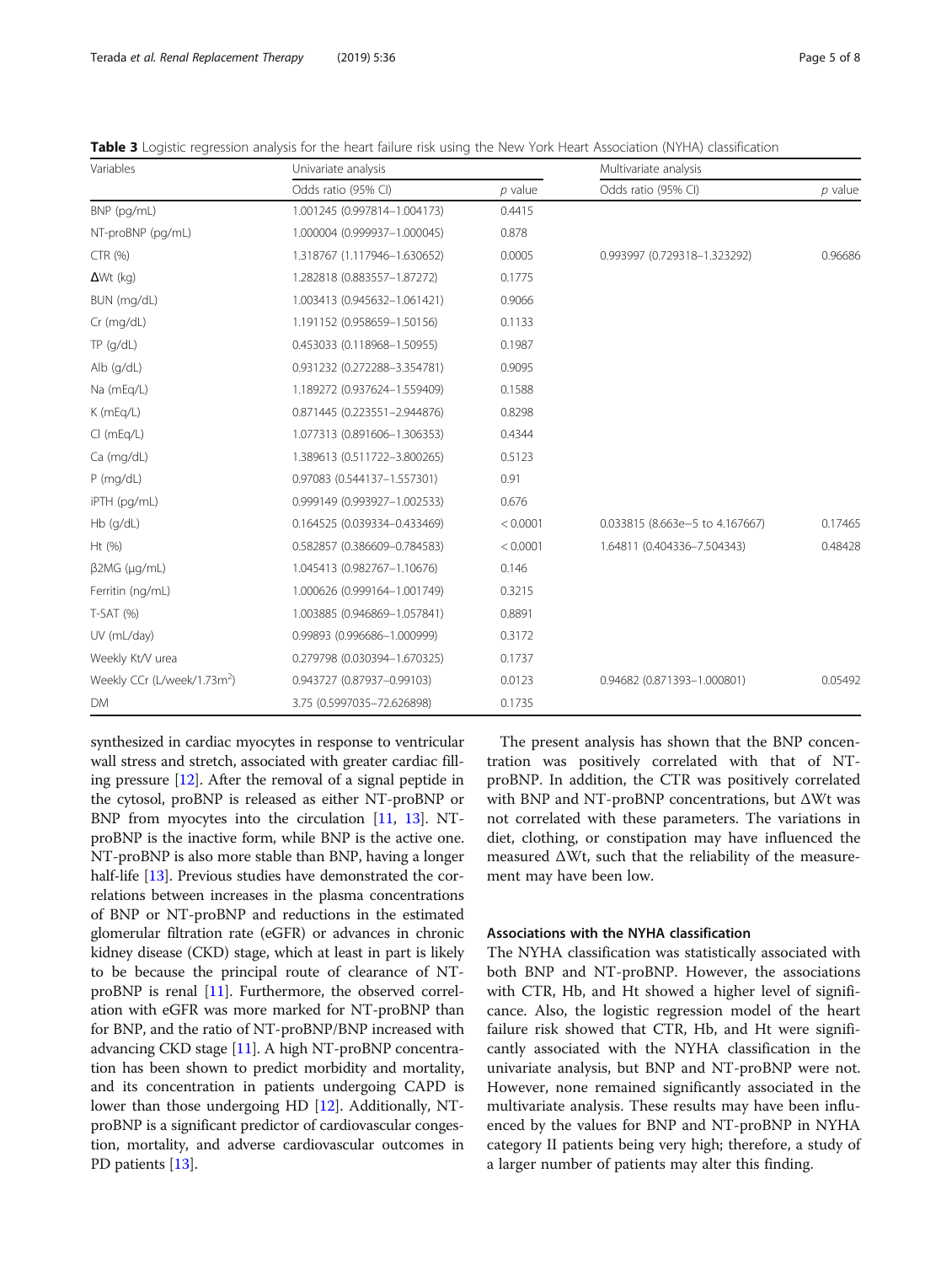<span id="page-4-0"></span>Table 3 Logistic regression analysis for the heart failure risk using the New York Heart Association (NYHA) classification

| Variables                               | Univariate analysis          |           | Multivariate analysis           |           |  |
|-----------------------------------------|------------------------------|-----------|---------------------------------|-----------|--|
|                                         | Odds ratio (95% CI)          | $p$ value | Odds ratio (95% CI)             | $p$ value |  |
| BNP (pg/mL)                             | 1.001245 (0.997814-1.004173) | 0.4415    |                                 |           |  |
| NT-proBNP (pg/mL)                       | 1.000004 (0.999937-1.000045) | 0.878     |                                 |           |  |
| CTR (%)                                 | 1.318767 (1.117946-1.630652) | 0.0005    | 0.993997 (0.729318-1.323292)    | 0.96686   |  |
| $\Delta Wt$ (kg)                        | 1.282818 (0.883557-1.87272)  | 0.1775    |                                 |           |  |
| BUN (mg/dL)                             | 1.003413 (0.945632-1.061421) | 0.9066    |                                 |           |  |
| Cr (mg/dL)                              | 1.191152 (0.958659-1.50156)  | 0.1133    |                                 |           |  |
| TP(q/dL)                                | 0.453033 (0.118968-1.50955)  | 0.1987    |                                 |           |  |
| Alb $(g/dL)$                            | 0.931232 (0.272288-3.354781) | 0.9095    |                                 |           |  |
| Na (mEg/L)                              | 1.189272 (0.937624-1.559409) | 0.1588    |                                 |           |  |
| K (mEg/L)                               | 0.871445 (0.223551-2.944876) | 0.8298    |                                 |           |  |
| $Cl$ (mEq/L)                            | 1.077313 (0.891606-1.306353) | 0.4344    |                                 |           |  |
| Ca (mg/dL)                              | 1.389613 (0.511722-3.800265) | 0.5123    |                                 |           |  |
| $P$ (mg/dL)                             | 0.97083 (0.544137-1.557301)  | 0.91      |                                 |           |  |
| iPTH (pg/mL)                            | 0.999149 (0.993927-1.002533) | 0.676     |                                 |           |  |
| $Hb$ (g/dL)                             | 0.164525 (0.039334-0.433469) | < 0.0001  | 0.033815 (8.663e-5 to 4.167667) | 0.17465   |  |
| Ht (%)                                  | 0.582857 (0.386609-0.784583) | < 0.0001  | 1.64811 (0.404336-7.504343)     | 0.48428   |  |
| $\beta$ 2MG ( $\mu$ g/mL)               | 1.045413 (0.982767-1.10676)  | 0.146     |                                 |           |  |
| Ferritin (ng/mL)                        | 1.000626 (0.999164-1.001749) | 0.3215    |                                 |           |  |
| $T-SAT(%)$                              | 1.003885 (0.946869-1.057841) | 0.8891    |                                 |           |  |
| UV (mL/day)                             | 0.99893 (0.996686-1.000999)  | 0.3172    |                                 |           |  |
| Weekly Kt/V urea                        | 0.279798 (0.030394-1.670325) | 0.1737    |                                 |           |  |
| Weekly CCr (L/week/1.73m <sup>2</sup> ) | 0.943727 (0.87937-0.99103)   | 0.0123    | 0.94682 (0.871393-1.000801)     | 0.05492   |  |
| <b>DM</b>                               | 3.75 (0.5997035-72.626898)   | 0.1735    |                                 |           |  |

synthesized in cardiac myocytes in response to ventricular wall stress and stretch, associated with greater cardiac filling pressure [\[12\]](#page-7-0). After the removal of a signal peptide in the cytosol, proBNP is released as either NT-proBNP or BNP from myocytes into the circulation [[11](#page-7-0), [13\]](#page-7-0). NTproBNP is the inactive form, while BNP is the active one. NT-proBNP is also more stable than BNP, having a longer half-life [\[13\]](#page-7-0). Previous studies have demonstrated the correlations between increases in the plasma concentrations of BNP or NT-proBNP and reductions in the estimated glomerular filtration rate (eGFR) or advances in chronic kidney disease (CKD) stage, which at least in part is likely to be because the principal route of clearance of NTproBNP is renal [[11](#page-7-0)]. Furthermore, the observed correlation with eGFR was more marked for NT-proBNP than for BNP, and the ratio of NT-proBNP/BNP increased with advancing CKD stage [\[11\]](#page-7-0). A high NT-proBNP concentration has been shown to predict morbidity and mortality, and its concentration in patients undergoing CAPD is lower than those undergoing HD [[12\]](#page-7-0). Additionally, NTproBNP is a significant predictor of cardiovascular congestion, mortality, and adverse cardiovascular outcomes in PD patients [[13\]](#page-7-0).

The present analysis has shown that the BNP concentration was positively correlated with that of NTproBNP. In addition, the CTR was positively correlated with BNP and NT-proBNP concentrations, but ΔWt was not correlated with these parameters. The variations in diet, clothing, or constipation may have influenced the measured ΔWt, such that the reliability of the measurement may have been low.

# Associations with the NYHA classification

The NYHA classification was statistically associated with both BNP and NT-proBNP. However, the associations with CTR, Hb, and Ht showed a higher level of significance. Also, the logistic regression model of the heart failure risk showed that CTR, Hb, and Ht were significantly associated with the NYHA classification in the univariate analysis, but BNP and NT-proBNP were not. However, none remained significantly associated in the multivariate analysis. These results may have been influenced by the values for BNP and NT-proBNP in NYHA category II patients being very high; therefore, a study of a larger number of patients may alter this finding.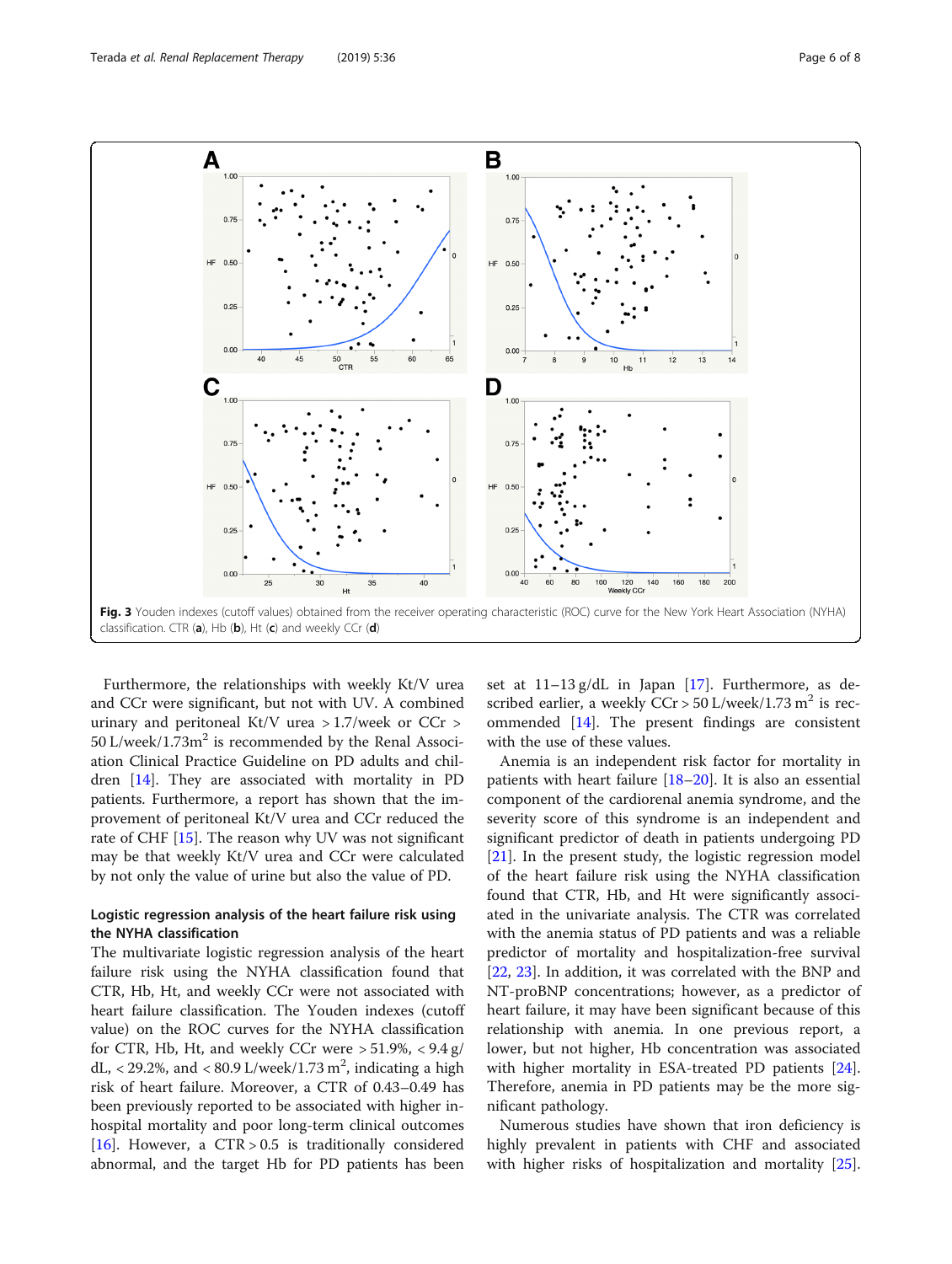<span id="page-5-0"></span>

Furthermore, the relationships with weekly Kt/V urea and CCr were significant, but not with UV. A combined urinary and peritoneal Kt/V urea > 1.7/week or CCr >  $50$  L/week/1.73 $m^2$  is recommended by the Renal Association Clinical Practice Guideline on PD adults and children [\[14](#page-7-0)]. They are associated with mortality in PD patients. Furthermore, a report has shown that the improvement of peritoneal Kt/V urea and CCr reduced the rate of CHF [\[15](#page-7-0)]. The reason why UV was not significant may be that weekly Kt/V urea and CCr were calculated by not only the value of urine but also the value of PD.

# Logistic regression analysis of the heart failure risk using the NYHA classification

The multivariate logistic regression analysis of the heart failure risk using the NYHA classification found that CTR, Hb, Ht, and weekly CCr were not associated with heart failure classification. The Youden indexes (cutoff value) on the ROC curves for the NYHA classification for CTR, Hb, Ht, and weekly CCr were  $> 51.9\%$ ,  $< 9.4 \text{ g}/$ dL, < 29.2%, and < 80.9 L/week/1.73  $m^2$ , indicating a high risk of heart failure. Moreover, a CTR of 0.43–0.49 has been previously reported to be associated with higher inhospital mortality and poor long-term clinical outcomes [[16\]](#page-7-0). However, a  $CTR > 0.5$  is traditionally considered abnormal, and the target Hb for PD patients has been set at 11–13 g/dL in Japan [\[17](#page-7-0)]. Furthermore, as described earlier, a weekly  $CCr > 50$  L/week/1.73 m<sup>2</sup> is recommended [\[14\]](#page-7-0). The present findings are consistent with the use of these values.

Anemia is an independent risk factor for mortality in patients with heart failure [\[18](#page-7-0)–[20\]](#page-7-0). It is also an essential component of the cardiorenal anemia syndrome, and the severity score of this syndrome is an independent and significant predictor of death in patients undergoing PD [[21\]](#page-7-0). In the present study, the logistic regression model of the heart failure risk using the NYHA classification found that CTR, Hb, and Ht were significantly associated in the univariate analysis. The CTR was correlated with the anemia status of PD patients and was a reliable predictor of mortality and hospitalization-free survival [[22,](#page-7-0) [23\]](#page-7-0). In addition, it was correlated with the BNP and NT-proBNP concentrations; however, as a predictor of heart failure, it may have been significant because of this relationship with anemia. In one previous report, a lower, but not higher, Hb concentration was associated with higher mortality in ESA-treated PD patients [\[24](#page-7-0)]. Therefore, anemia in PD patients may be the more significant pathology.

Numerous studies have shown that iron deficiency is highly prevalent in patients with CHF and associated with higher risks of hospitalization and mortality [\[25](#page-7-0)].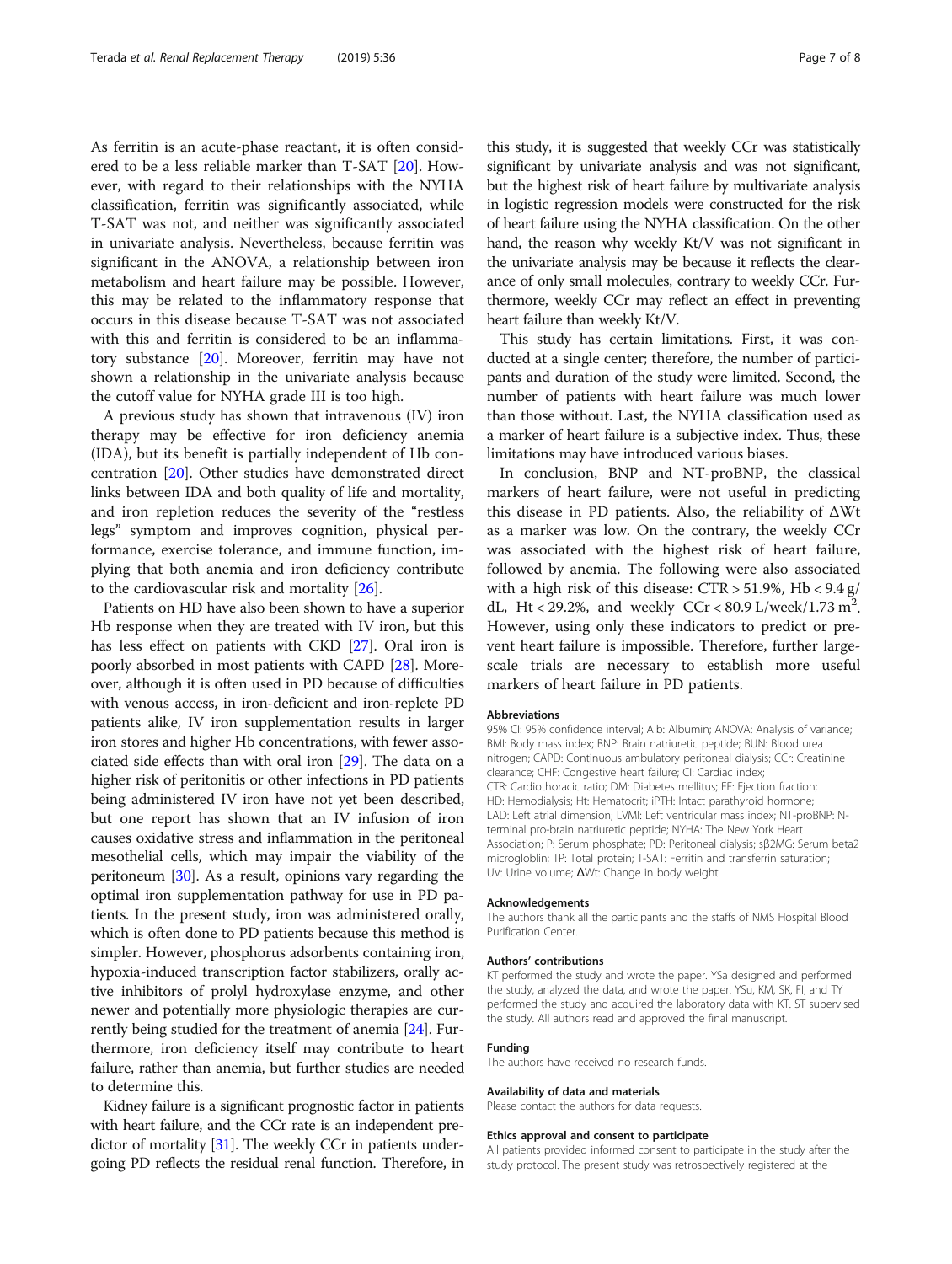As ferritin is an acute-phase reactant, it is often considered to be a less reliable marker than T-SAT [\[20\]](#page-7-0). However, with regard to their relationships with the NYHA classification, ferritin was significantly associated, while T-SAT was not, and neither was significantly associated in univariate analysis. Nevertheless, because ferritin was significant in the ANOVA, a relationship between iron metabolism and heart failure may be possible. However, this may be related to the inflammatory response that occurs in this disease because T-SAT was not associated with this and ferritin is considered to be an inflammatory substance [\[20](#page-7-0)]. Moreover, ferritin may have not shown a relationship in the univariate analysis because the cutoff value for NYHA grade III is too high.

A previous study has shown that intravenous (IV) iron therapy may be effective for iron deficiency anemia (IDA), but its benefit is partially independent of Hb concentration [\[20](#page-7-0)]. Other studies have demonstrated direct links between IDA and both quality of life and mortality, and iron repletion reduces the severity of the "restless legs" symptom and improves cognition, physical performance, exercise tolerance, and immune function, implying that both anemia and iron deficiency contribute to the cardiovascular risk and mortality [\[26](#page-7-0)].

Patients on HD have also been shown to have a superior Hb response when they are treated with IV iron, but this has less effect on patients with CKD [\[27\]](#page-7-0). Oral iron is poorly absorbed in most patients with CAPD [\[28\]](#page-7-0). Moreover, although it is often used in PD because of difficulties with venous access, in iron-deficient and iron-replete PD patients alike, IV iron supplementation results in larger iron stores and higher Hb concentrations, with fewer associated side effects than with oral iron [[29\]](#page-7-0). The data on a higher risk of peritonitis or other infections in PD patients being administered IV iron have not yet been described, but one report has shown that an IV infusion of iron causes oxidative stress and inflammation in the peritoneal mesothelial cells, which may impair the viability of the peritoneum [[30\]](#page-7-0). As a result, opinions vary regarding the optimal iron supplementation pathway for use in PD patients. In the present study, iron was administered orally, which is often done to PD patients because this method is simpler. However, phosphorus adsorbents containing iron, hypoxia-induced transcription factor stabilizers, orally active inhibitors of prolyl hydroxylase enzyme, and other newer and potentially more physiologic therapies are currently being studied for the treatment of anemia [[24](#page-7-0)]. Furthermore, iron deficiency itself may contribute to heart failure, rather than anemia, but further studies are needed to determine this.

Kidney failure is a significant prognostic factor in patients with heart failure, and the CCr rate is an independent pre-dictor of mortality [[31](#page-7-0)]. The weekly CCr in patients undergoing PD reflects the residual renal function. Therefore, in

this study, it is suggested that weekly CCr was statistically significant by univariate analysis and was not significant, but the highest risk of heart failure by multivariate analysis in logistic regression models were constructed for the risk of heart failure using the NYHA classification. On the other hand, the reason why weekly Kt/V was not significant in the univariate analysis may be because it reflects the clearance of only small molecules, contrary to weekly CCr. Furthermore, weekly CCr may reflect an effect in preventing heart failure than weekly Kt/V.

This study has certain limitations. First, it was conducted at a single center; therefore, the number of participants and duration of the study were limited. Second, the number of patients with heart failure was much lower than those without. Last, the NYHA classification used as a marker of heart failure is a subjective index. Thus, these limitations may have introduced various biases.

In conclusion, BNP and NT-proBNP, the classical markers of heart failure, were not useful in predicting this disease in PD patients. Also, the reliability of ΔWt as a marker was low. On the contrary, the weekly CCr was associated with the highest risk of heart failure, followed by anemia. The following were also associated with a high risk of this disease:  $CTR > 51.9\%$ ,  $Hb < 9.4$  g/ dL, Ht < 29.2%, and weekly  $CCr < 80.9$  L/week/1.73 m<sup>2</sup>. However, using only these indicators to predict or prevent heart failure is impossible. Therefore, further largescale trials are necessary to establish more useful markers of heart failure in PD patients.

#### Abbreviations

95% CI: 95% confidence interval; Alb: Albumin; ANOVA: Analysis of variance; BMI: Body mass index; BNP: Brain natriuretic peptide; BUN: Blood urea nitrogen; CAPD: Continuous ambulatory peritoneal dialysis; CCr: Creatinine clearance; CHF: Congestive heart failure; CI: Cardiac index; CTR: Cardiothoracic ratio; DM: Diabetes mellitus; EF: Ejection fraction; HD: Hemodialysis; Ht: Hematocrit; iPTH: Intact parathyroid hormone; LAD: Left atrial dimension; LVMI: Left ventricular mass index; NT-proBNP: Nterminal pro-brain natriuretic peptide; NYHA: The New York Heart Association; P: Serum phosphate; PD: Peritoneal dialysis; sβ2MG: Serum beta2 microgloblin; TP: Total protein; T-SAT: Ferritin and transferrin saturation; UV: Urine volume; ΔWt: Change in body weight

#### Acknowledgements

The authors thank all the participants and the staffs of NMS Hospital Blood Purification Center.

#### Authors' contributions

KT performed the study and wrote the paper. YSa designed and performed the study, analyzed the data, and wrote the paper. YSu, KM, SK, FI, and TY performed the study and acquired the laboratory data with KT. ST supervised the study. All authors read and approved the final manuscript.

#### Funding

The authors have received no research funds.

#### Availability of data and materials

Please contact the authors for data requests.

#### Ethics approval and consent to participate

All patients provided informed consent to participate in the study after the study protocol. The present study was retrospectively registered at the